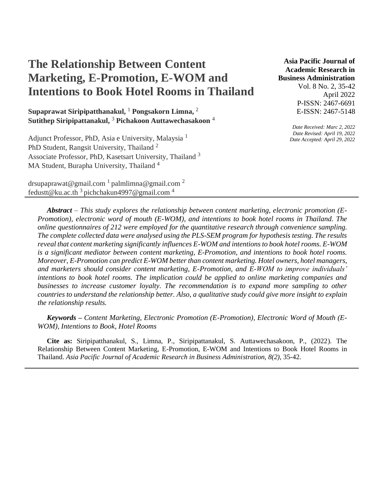# **The Relationship Between Content Marketing, E-Promotion, E-WOM and Intentions to Book Hotel Rooms in Thailand**

**Supaprawat Siripipatthanakul,** <sup>1</sup> **Pongsakorn Limna,** <sup>2</sup> **Sutithep Siripipattanakul,** <sup>3</sup> **Pichakoon Auttawechasakoon** <sup>4</sup>

Adjunct Professor, PhD, Asia e University, Malaysia<sup>1</sup> PhD Student, Rangsit University, Thailand <sup>2</sup> Associate Professor, PhD, Kasetsart University, Thailand <sup>3</sup> MA Student, Burapha University, Thailand<sup>4</sup>

drsupaprawat@gmail.com  $1$  palmlimna@gmail.com  $2$ fedustt@ku.ac.th  $3$  pichchakun4997@gmail.com  $4$ 

**Asia Pacific Journal of Academic Research in Business Administration** 

> Vol. 8 No. 2, 35-42 April 2022 P-ISSN: 2467-6691 E-ISSN: 2467-5148

*Date Received: Marc 2, 2022 Date Revised: April 19, 2022 Date Accepted: April 29, 2022*

*Abstract – This study explores the relationship between content marketing, electronic promotion (E-Promotion), electronic word of mouth (E-WOM), and intentions to book hotel rooms in Thailand. The online questionnaires of 212 were employed for the quantitative research through convenience sampling. The complete collected data were analysed using the PLS-SEM program for hypothesis testing. The results reveal that content marketing significantly influences E-WOM and intentions to book hotel rooms. E-WOM is a significant mediator between content marketing, E-Promotion, and intentions to book hotel rooms. Moreover, E-Promotion can predict E-WOM better than content marketing. Hotel owners, hotel managers, and marketers should consider content marketing, E-Promotion, and E-WOM to improve individuals' intentions to book hotel rooms. The implication could be applied to online marketing companies and businesses to increase customer loyalty. The recommendation is to expand more sampling to other countries to understand the relationship better. Also, a qualitative study could give more insight to explain the relationship results.*

*Keywords – Content Marketing, Electronic Promotion (E-Promotion), Electronic Word of Mouth (E-WOM), Intentions to Book, Hotel Rooms*

**Cite as:** Siripipatthanakul, S., Limna, P., Siripipattanakul, S. Auttawechasakoon, P., (2022). The Relationship Between Content Marketing, E-Promotion, E-WOM and Intentions to Book Hotel Rooms in Thailand. *Asia Pacific Journal of Academic Research in Business Administration, 8(2),* 35-42.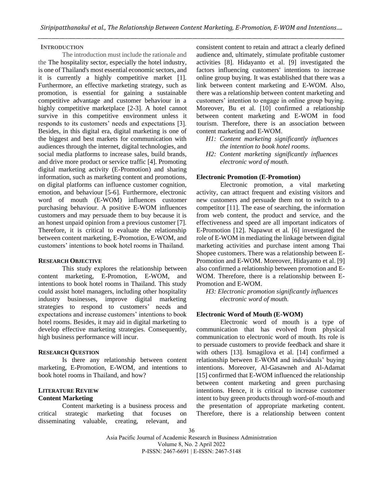## **INTRODUCTION**

The introduction must include the rationale and the The hospitality sector, especially the hotel industry, is one of Thailand's most essential economic sectors, and it is currently a highly competitive market [1]. Furthermore, an effective marketing strategy, such as promotion, is essential for gaining a sustainable competitive advantage and customer behaviour in a highly competitive marketplace [2-3]. A hotel cannot survive in this competitive environment unless it responds to its customers' needs and expectations [3]. Besides, in this digital era, digital marketing is one of the biggest and best markets for communication with audiences through the internet, digital technologies, and social media platforms to increase sales, build brands, and drive more product or service traffic [4]. Promoting digital marketing activity (E-Promotion) and sharing information, such as marketing content and promotions, on digital platforms can influence customer cognition, emotion, and behaviour [5-6]. Furthermore, electronic word of mouth (E-WOM) influences customer purchasing behaviour. A positive E-WOM influences customers and may persuade them to buy because it is an honest unpaid opinion from a previous customer [7]. Therefore, it is critical to evaluate the relationship between content marketing, E-Promotion, E-WOM, and customers' intentions to book hotel rooms in Thailand.

#### **RESEARCH OBJECTIVE**

This study explores the relationship between content marketing, E-Promotion, E-WOM, and intentions to book hotel rooms in Thailand. This study could assist hotel managers, including other hospitality industry businesses, improve digital marketing strategies to respond to customers' needs and expectations and increase customers' intentions to book hotel rooms. Besides, it may aid in digital marketing to develop effective marketing strategies. Consequently, high business performance will incur.

## **RESEARCH QUESTION**

Is there any relationship between content marketing, E-Promotion, E-WOM, and intentions to book hotel rooms in Thailand, and how?

## **LITERATURE REVIEW Content Marketing**

Content marketing is a business process and critical strategic marketing that focuses on disseminating valuable, creating, relevant, and

consistent content to retain and attract a clearly defined audience and, ultimately, stimulate profitable customer activities [8]. Hidayanto et al. [9] investigated the factors influencing customers' intentions to increase online group buying. It was established that there was a link between content marketing and E-WOM. Also, there was a relationship between content marketing and customers' intention to engage in online group buying. Moreover, Bu et al. [10] confirmed a relationship between content marketing and E-WOM in food tourism. Therefore, there is an association between content marketing and E-WOM.

- *H1: Content marketing significantly influences the intention to book hotel rooms.*
- *H2: Content marketing significantly influences electronic word of mouth.*

#### **Electronic Promotion (E-Promotion)**

Electronic promotion, a vital marketing activity, can attract frequent and existing visitors and new customers and persuade them not to switch to a competitor [11]. The ease of searching, the information from web content, the product and service, and the effectiveness and speed are all important indicators of E-Promotion [12]. Napawut et al. [6] investigated the role of E-WOM in mediating the linkage between digital marketing activities and purchase intent among Thai Shopee customers. There was a relationship between E-Promotion and E-WOM. Moreover, Hidayanto et al. [9] also confirmed a relationship between promotion and E-WOM. Therefore, there is a relationship between E-Promotion and E-WOM.

*H3: Electronic promotion significantly influences electronic word of mouth.*

## **Electronic Word of Mouth (E-WOM)**

Electronic word of mouth is a type of communication that has evolved from physical communication to electronic word of mouth. Its role is to persuade customers to provide feedback and share it with others [13]. Ismagilova et al. [14] confirmed a relationship between E-WOM and individuals' buying intentions. Moreover, Al-Gasawneh and Al-Adamat [15] confirmed that E-WOM influenced the relationship between content marketing and green purchasing intentions. Hence, it is critical to increase customer intent to buy green products through word-of-mouth and the presentation of appropriate marketing content. Therefore, there is a relationship between content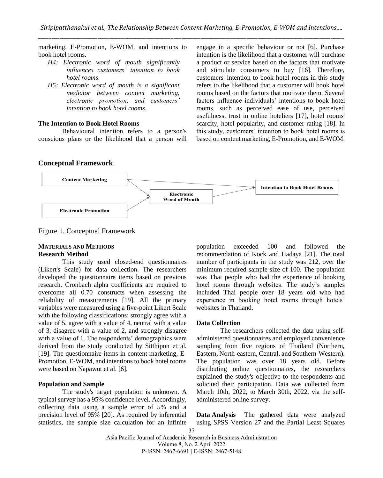marketing, E-Promotion, E-WOM, and intentions to book hotel rooms.

- *H4: Electronic word of mouth significantly influences customers' intention to book hotel rooms.*
- *H5: Electronic word of mouth is a significant mediator between content marketing, electronic promotion, and customers' intention to book hotel rooms.*

## **The Intention to Book Hotel Rooms**

Behavioural intention refers to a person's conscious plans or the likelihood that a person will

engage in a specific behaviour or not [6]. Purchase intention is the likelihood that a customer will purchase a product or service based on the factors that motivate and stimulate consumers to buy [16]. Therefore, customers' intention to book hotel rooms in this study refers to the likelihood that a customer will book hotel rooms based on the factors that motivate them. Several factors influence individuals' intentions to book hotel rooms, such as perceived ease of use, perceived usefulness, trust in online hoteliers [17], hotel rooms' scarcity, hotel popularity, and customer rating [18]. In this study, customers' intention to book hotel rooms is based on content marketing, E-Promotion, and E-WOM.

## **Conceptual Framework**



Figure 1. Conceptual Framework

## **MATERIALS AND METHODS Research Method**

This study used closed-end questionnaires (Likert's Scale) for data collection. The researchers developed the questionnaire items based on previous research. Cronbach alpha coefficients are required to overcome all 0.70 constructs when assessing the reliability of measurements [19]. All the primary variables were measured using a five-point Likert Scale with the following classifications: strongly agree with a value of 5, agree with a value of 4, neutral with a value of 3, disagree with a value of 2, and strongly disagree with a value of 1. The respondents' demographics were derived from the study conducted by Sitthipon et al. [19]. The questionnaire items in content marketing, E-Promotion, E-WOM, and intentions to book hotel rooms were based on Napawut et al. [6].

## **Population and Sample**

The study's target population is unknown. A typical survey has a 95% confidence level. Accordingly, collecting data using a sample error of 5% and a precision level of 95% [20]. As required by inferential statistics, the sample size calculation for an infinite population exceeded 100 and followed the recommendation of Kock and Hadaya [21]. The total number of participants in the study was 212, over the minimum required sample size of 100. The population was Thai people who had the experience of booking hotel rooms through websites. The study's samples included Thai people over 18 years old who had experience in booking hotel rooms through hotels' websites in Thailand.

## **Data Collection**

The researchers collected the data using selfadministered questionnaires and employed convenience sampling from five regions of Thailand (Northern, Eastern, North-eastern, Central, and Southern-Western). The population was over 18 years old. Before distributing online questionnaires, the researchers explained the study's objective to the respondents and solicited their participation. Data was collected from March 10th, 2022, to March 30th, 2022, via the selfadministered online survey.

**Data Analysis** The gathered data were analyzed using SPSS Version 27 and the Partial Least Squares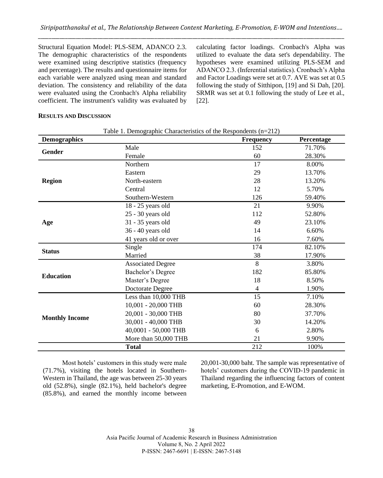Structural Equation Model: PLS-SEM, ADANCO 2.3. The demographic characteristics of the respondents were examined using descriptive statistics (frequency and percentage). The results and questionnaire items for each variable were analyzed using mean and standard deviation. The consistency and reliability of the data were evaluated using the Cronbach's Alpha reliability coefficient. The instrument's validity was evaluated by calculating factor loadings. Cronbach's Alpha was utilized to evaluate the data set's dependability. The hypotheses were examined utilizing PLS-SEM and ADANCO 2.3. (Inferential statistics). Cronbach's Alpha and Factor Loadings were set at 0.7. AVE was set at 0.5 following the study of Sitthipon, [19] and Si Dah, [20]. SRMR was set at 0.1 following the study of Lee et al., [22].

# **RESULTS AND DISCUSSION**

| <b>Demographics</b>   | raore 1. Demographic enaracteristics of the respondents $(n-212)$ | <b>Frequency</b> | Percentage |
|-----------------------|-------------------------------------------------------------------|------------------|------------|
|                       | Male                                                              | 152              | 71.70%     |
| Gender                | Female                                                            | 60               | 28.30%     |
|                       | Northern                                                          | 17               | 8.00%      |
|                       | Eastern                                                           | 29               | 13.70%     |
| <b>Region</b>         | North-eastern                                                     | 28               | 13.20%     |
|                       | Central                                                           | 12               | 5.70%      |
|                       | Southern-Western                                                  | 126              | 59.40%     |
|                       | 18 - 25 years old                                                 | 21               | 9.90%      |
|                       | $25 - 30$ years old                                               | 112              | 52.80%     |
| Age                   | 31 - 35 years old                                                 | 49               | 23.10%     |
|                       | 36 - 40 years old                                                 | 14               | 6.60%      |
|                       | 41 years old or over                                              | 16               | 7.60%      |
| <b>Status</b>         | Single                                                            | 174              | 82.10%     |
|                       | Married                                                           | 38               | 17.90%     |
|                       | <b>Associated Degree</b>                                          | 8                | 3.80%      |
| <b>Education</b>      | Bachelor's Degree                                                 | 182              | 85.80%     |
|                       | Master's Degree                                                   | 18               | 8.50%      |
|                       | Doctorate Degree                                                  | 4                | 1.90%      |
|                       | Less than 10,000 THB                                              | 15               | 7.10%      |
|                       | 10,001 - 20,000 THB                                               | 60               | 28.30%     |
| <b>Monthly Income</b> | 20,001 - 30,000 THB                                               | 80               | 37.70%     |
|                       | 30,001 - 40,000 THB                                               | 30               | 14.20%     |
|                       | 40,0001 - 50,000 THB                                              | 6                | 2.80%      |
|                       | More than 50,000 THB                                              | 21               | 9.90%      |
|                       | <b>Total</b>                                                      | 212              | 100%       |

| Table 1. Demographic Characteristics of the Respondents (n=212) |  |  |  |  |  |
|-----------------------------------------------------------------|--|--|--|--|--|
|-----------------------------------------------------------------|--|--|--|--|--|

Most hotels' customers in this study were male (71.7%), visiting the hotels located in Southern-Western in Thailand, the age was between 25-30 years old (52.8%), single (82.1%), held bachelor's degree (85.8%), and earned the monthly income between 20,001-30,000 baht. The sample was representative of hotels' customers during the COVID-19 pandemic in Thailand regarding the influencing factors of content marketing, E-Promotion, and E-WOM.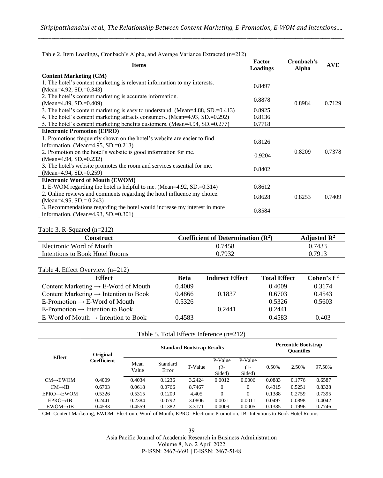| Table 2. Hem Loadings, Cronoach 8 Alpha, and Average variance Extracted $(n-212)$ |                    |                     |            |  |  |  |
|-----------------------------------------------------------------------------------|--------------------|---------------------|------------|--|--|--|
| <b>Items</b>                                                                      | Factor<br>Loadings | Cronbach's<br>Alpha | <b>AVE</b> |  |  |  |
| <b>Content Marketing (CM)</b>                                                     |                    |                     |            |  |  |  |
| 1. The hotel's content marketing is relevant information to my interests.         | 0.8497             |                     |            |  |  |  |
| (Mean=4.92, SD.=0.343)                                                            |                    |                     |            |  |  |  |
| 2. The hotel's content marketing is accurate information.                         | 0.8878             |                     |            |  |  |  |
| (Mean=4.89, SD, $=$ 0.409)                                                        |                    | 0.8984              | 0.7129     |  |  |  |
| 3. The hotel's content marketing is easy to understand. (Mean=4.88, SD.=0.413)    | 0.8925             |                     |            |  |  |  |
| 4. The hotel's content marketing attracts consumers. (Mean=4.93, SD.=0.292)       | 0.8136             |                     |            |  |  |  |
| 5. The hotel's content marketing benefits customers. (Mean=4.94, SD.=0.277)       | 0.7718             |                     |            |  |  |  |
| <b>Electronic Promotion (EPRO)</b>                                                |                    |                     |            |  |  |  |
| 1. Promotions frequently shown on the hotel's website are easier to find          | 0.8126             |                     |            |  |  |  |
| information. (Mean=4.95, SD.= $0.213$ )                                           |                    |                     |            |  |  |  |
| 2. Promotion on the hotel's website is good information for me.                   | 0.9204             | 0.8209              | 0.7378     |  |  |  |
| (Mean=4.94, SD, $= 0.232$ )                                                       |                    |                     |            |  |  |  |
| 3. The hotel's website promotes the room and services essential for me.           | 0.8402             |                     |            |  |  |  |
| (Mean=4.94, SD, = 0.259)                                                          |                    |                     |            |  |  |  |
| <b>Electronic Word of Mouth (EWOM)</b>                                            |                    |                     |            |  |  |  |
| 1. E-WOM regarding the hotel is helpful to me. (Mean=4.92, SD.=0.314)             | 0.8612             |                     |            |  |  |  |
| 2. Online reviews and comments regarding the hotel influence my choice.           | 0.8628             | 0.8253              | 0.7409     |  |  |  |
| (Mean=4.95, SD. = $0.243$ )                                                       |                    |                     |            |  |  |  |
| 3. Recommendations regarding the hotel would increase my interest in more         | 0.8584             |                     |            |  |  |  |
| information. (Mean=4.93, SD.= $0.301$ )                                           |                    |                     |            |  |  |  |

Table 2. Item Loadings, Cronbach's Alpha, and Average Variance Extracted (n=212)

## Table 3. R-Squared (n=212)

| Construct                      | Coefficient of Determination $(\mathbb{R}^2)$ | Adjusted $\mathbb{R}^2$ |
|--------------------------------|-----------------------------------------------|-------------------------|
| Electronic Word of Mouth       | 0.7458                                        | 0.7433                  |
| Intentions to Book Hotel Rooms | 0.7932                                        | 0.7913                  |

#### Table 4. Effect Overview (n=212)

| <b>Effect</b>                                     | Beta   | <b>Indirect Effect</b> | <b>Total Effect</b> | Cohen's $f^2$ |
|---------------------------------------------------|--------|------------------------|---------------------|---------------|
| Content Marketing $\rightarrow$ E-Word of Mouth   | 0.4009 |                        | 0.4009              | 0.3174        |
| Content Marketing $\rightarrow$ Intention to Book | 0.4866 | 0.1837                 | 0.6703              | 0.4543        |
| E-Promotion $\rightarrow$ E-Word of Mouth         | 0.5326 |                        | 0.5326              | 0.5603        |
| E-Promotion $\rightarrow$ Intention to Book       |        | 0.2441                 | 0.2441              |               |
| E-Word of Mouth $\rightarrow$ Intention to Book   | 0.4583 |                        | 0.4583              | 0.403         |

|  | Table 5. Total Effects Inference (n=212) |  |  |  |
|--|------------------------------------------|--|--|--|
|--|------------------------------------------|--|--|--|

| Original                |             | <b>Standard Bootstrap Results</b> |                   |         |                             | <b>Percentile Bootstrap</b><br>Ouantiles |        |        |        |
|-------------------------|-------------|-----------------------------------|-------------------|---------|-----------------------------|------------------------------------------|--------|--------|--------|
| Effect                  | Coefficient | Mean<br>Value                     | Standard<br>Error | T-Value | P-Value<br>$(2 -$<br>Sided) | P-Value<br>(1-<br>Sided)                 | 0.50%  | 2.50%  | 97.50% |
| $CM \rightarrow EWOM$   | 0.4009      | 0.4034                            | 0.1236            | 3.2424  | 0.0012                      | 0.0006                                   | 0.0883 | 0.1776 | 0.6587 |
| $CM \rightarrow IB$     | 0.6703      | 0.0618                            | 0.0766            | 8.7467  | $\Omega$                    | $\mathbf{0}$                             | 0.4315 | 0.5251 | 0.8328 |
| $EPRO \rightarrow EWOM$ | 0.5326      | 0.5315                            | 0.1209            | 4.405   | $\theta$                    | $\theta$                                 | 0.1388 | 0.2759 | 0.7395 |
| $EPRO \rightarrow IB$   | 0.2441      | 0.2384                            | 0.0792            | 3.0806  | 0.0021                      | 0.0011                                   | 0.0497 | 0.0898 | 0.4042 |
| $EWOM \rightarrow IB$   | 0.4583      | 0.4559                            | 0.1382            | 3.3171  | 0.0009                      | 0.0005                                   | 0.1385 | 0.1996 | 0.7746 |

CM=Content Marketing; EWOM=Electronic Word of Mouth; EPRO=Electronic Promotion; IB=Intentions to Book Hotel Rooms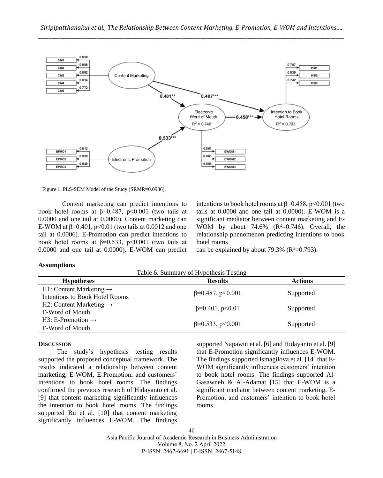

Figure 1. PLS-SEM Model of the Study (SRMR=0.0986).

Content marketing can predict intentions to book hotel rooms at  $\beta$ =0.487, p<0.001 (two tails at 0.0000 and one tail at 0.0000). Content marketing can E-WOM at  $\beta$ =0.401, p<0.01 (two tails at 0.0012 and one tail at 0.0006). E-Promotion can predict intentions to book hotel rooms at  $\beta$ =0.533, p<0.001 (two tails at 0.0000 and one tail at 0.0000). E-WOM can predict

intentions to book hotel rooms at  $\beta$ =0.458, p<0.001 (two tails at 0.0000 and one tail at 0.0000). E-WOM is a significant mediator between content marketing and E-WOM by about 74.6%  $(R^2=0.746)$ . Overall, the relationship phenomenon predicting intentions to book hotel rooms

can be explained by about 79.3% ( $\mathbb{R}^2$ =0.793).

#### **Assumptions**

Table 6. Summary of Hypothesis Testing

| <b>Hypotheses</b>                   | <b>Results</b>             | <b>Actions</b> |
|-------------------------------------|----------------------------|----------------|
| H1: Content Marketing $\rightarrow$ |                            |                |
| Intentions to Book Hotel Rooms      | $\beta = 0.487, p < 0.001$ | Supported      |
| H2: Content Marketing $\rightarrow$ |                            |                |
| E-Word of Mouth                     | $\beta = 0.401, p < 0.01$  | Supported      |
| H3: E-Promotion $\rightarrow$       |                            |                |
| E-Word of Mouth                     | $\beta = 0.533$ , p<0.001  | Supported      |
|                                     |                            |                |

#### **DISCUSSION**

The study's hypothesis testing results supported the proposed conceptual framework. The results indicated a relationship between content marketing, E-WOM, E-Promotion, and customers' intentions to book hotel rooms. The findings confirmed the previous research of Hidayanto et al. [9] that content marketing significantly influences the intention to book hotel rooms. The findings supported Bu et al. [10] that content marketing significantly influences E-WOM. The findings

supported Napawut et al. [6] and Hidayanto et al. [9] that E-Promotion significantly influences E-WOM. The findings supported Ismagilova et al. [14] that E-WOM significantly influences customers' intention to book hotel rooms. The findings supported Al-Gasawneh & Al-Adamat [15] that E-WOM is a significant mediator between content marketing, E-Promotion, and customers' intention to book hotel rooms.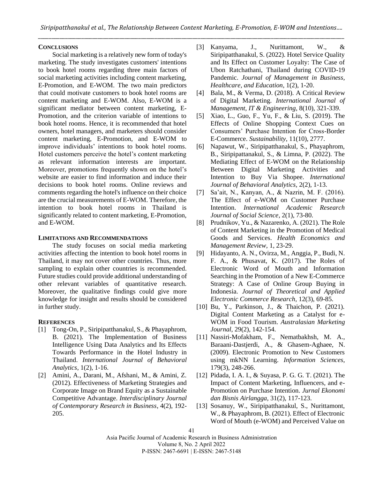## **CONCLUSIONS**

Social marketing is a relatively new form of today's marketing. The study investigates customers' intentions to book hotel rooms regarding three main factors of social marketing activities including content marketing, E-Promotion, and E-WOM. The two main predictors that could motivate customers to book hotel rooms are content marketing and E-WOM. Also, E-WOM is a significant mediator between content marketing, E-Promotion, and the criterion variable of intentions to book hotel rooms. Hence, it is recommended that hotel owners, hotel managers, and marketers should consider content marketing, E-Promotion, and E-WOM to improve individuals' intentions to book hotel rooms. Hotel customers perceive the hotel's content marketing as relevant information interests are important. Moreover, promotions frequently shown on the hotel's website are easier to find information and induce their decisions to book hotel rooms. Online reviews and comments regarding the hotel's influence on their choice are the crucial measurements of E-WOM. Therefore, the intention to book hotel rooms in Thailand is significantly related to content marketing, E-Promotion, and E-WOM.

## **LIMITATIONS AND RECOMMENDATIONS**

The study focuses on social media marketing activities affecting the intention to book hotel rooms in Thailand, it may not cover other countries. Thus, more sampling to explain other countries is recommended. Future studies could provide additional understanding of other relevant variables of quantitative research. Moreover, the qualitative findings could give more knowledge for insight and results should be considered in further study.

## **REFERENCES**

- [1] Tong-On, P., Siripipatthanakul, S., & Phayaphrom, B. (2021). The Implementation of Business Intelligence Using Data Analytics and Its Effects Towards Performance in the Hotel Industry in Thailand. *International Journal of Behavioral Analytics*, 1(2), 1-16.
- [2] Amini, A., Darani, M., Afshani, M., & Amini, Z. (2012). Effectiveness of Marketing Strategies and Corporate Image on Brand Equity as a Sustainable Competitive Advantage. *Interdisciplinary Journal of Contemporary Research in Business*, 4(2), 192- 205.
- [3] Kanyama, J., Nurittamont, W., & Siripipatthanakul, S. (2022). Hotel Service Quality and Its Effect on Customer Loyalty: The Case of Ubon Ratchathani, Thailand during COVID-19 Pandemic. *Journal of Management in Business, Healthcare, and Education*, 1(2), 1-20.
- [4] Bala, M., & Verma, D. (2018). A Critical Review of Digital Marketing. *International Journal of Management, IT & Engineering*, 8(10), 321-339.
- [5] Xiao, L., Guo, F., Yu, F., & Liu, S. (2019). The Effects of Online Shopping Context Cues on Consumers' Purchase Intention for Cross-Border E-Commerce. *Sustainability*, 11(10), 2777.
- [6] Napawut, W., Siripipatthanakul, S., Phayaphrom, B., Siripipattanakul, S., & Limna, P. (2022). The Mediating Effect of E-WOM on the Relationship Between Digital Marketing Activities and Intention to Buy Via Shopee. *International Journal of Behavioral Analytics,* 2(2), 1-13.
- [7] Sa'ait, N., Kanyan, A., & Nazrin, M. F. (2016). The Effect of e-WOM on Customer Purchase Intention. *International Academic Research Journal of Social Science*, 2(1), 73-80.
- [8] Prudnikov, Yu., & Nazarenko, A. (2021). The Role of Content Marketing in the Promotion of Medical Goods and Services. *Health Economics and Management Review,* 1, 23-29.
- [9] Hidayanto, A. N., Ovirza, M., Anggia, P., Budi, N. F. A., & Phusavat, K. (2017). The Roles of Electronic Word of Mouth and Information Searching in the Promotion of a New E-Commerce Strategy: A Case of Online Group Buying in Indonesia. *Journal of Theoretical and Applied Electronic Commerce Research*, 12(3), 69-85.
- [10] Bu, Y., Parkinson, J., & Thaichon, P. (2021). Digital Content Marketing as a Catalyst for e-WOM in Food Tourism. *Australasian Marketing Journal,* 29(2), 142-154.
- [11] Nassiri-Mofakham, F., Nematbakhsh, M. A., Baraani-Dastjerdi, A., & Ghasem-Aghaee, N. (2009). Electronic Promotion to New Customers using mkNN Learning. *Information Sciences,* 179(3), 248-266.
- [12] Pidada, I. A. I., & Suyasa, P. G. G. T. (2021). The Impact of Content Marketing, Influencers, and e-Promotion on Purchase Intention. *Jurnal Ekonomi dan Bisnis Airlangga,* 31(2), 117-123.
- [13] Sosanuy, W., Siripipatthanakul, S., Nurittamont, W., & Phayaphrom, B. (2021). Effect of Electronic Word of Mouth (e-WOM) and Perceived Value on